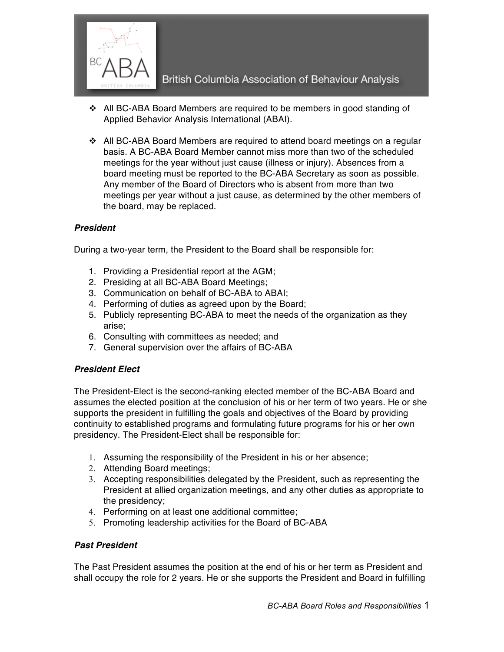

- v All BC-ABA Board Members are required to be members in good standing of Applied Behavior Analysis International (ABAI).
- v All BC-ABA Board Members are required to attend board meetings on a regular basis. A BC-ABA Board Member cannot miss more than two of the scheduled meetings for the year without just cause (illness or injury). Absences from a board meeting must be reported to the BC-ABA Secretary as soon as possible. Any member of the Board of Directors who is absent from more than two meetings per year without a just cause, as determined by the other members of the board, may be replaced.

## *President*

During a two-year term, the President to the Board shall be responsible for:

- 1. Providing a Presidential report at the AGM;
- 2. Presiding at all BC-ABA Board Meetings;
- 3. Communication on behalf of BC-ABA to ABAI;
- 4. Performing of duties as agreed upon by the Board;
- 5. Publicly representing BC-ABA to meet the needs of the organization as they arise;
- 6. Consulting with committees as needed; and
- 7. General supervision over the affairs of BC-ABA

### *President Elect*

The President-Elect is the second-ranking elected member of the BC-ABA Board and assumes the elected position at the conclusion of his or her term of two years. He or she supports the president in fulfilling the goals and objectives of the Board by providing continuity to established programs and formulating future programs for his or her own presidency. The President-Elect shall be responsible for:

- 1. Assuming the responsibility of the President in his or her absence;
- 2. Attending Board meetings;
- 3. Accepting responsibilities delegated by the President, such as representing the President at allied organization meetings, and any other duties as appropriate to the presidency;
- 4. Performing on at least one additional committee;
- 5. Promoting leadership activities for the Board of BC-ABA

#### *Past President*

The Past President assumes the position at the end of his or her term as President and shall occupy the role for 2 years. He or she supports the President and Board in fulfilling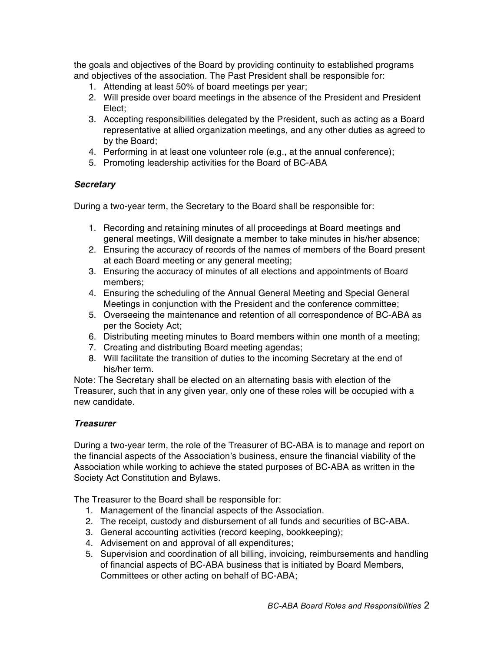the goals and objectives of the Board by providing continuity to established programs and objectives of the association. The Past President shall be responsible for:

- 1. Attending at least 50% of board meetings per year;
- 2. Will preside over board meetings in the absence of the President and President Elect;
- 3. Accepting responsibilities delegated by the President, such as acting as a Board representative at allied organization meetings, and any other duties as agreed to by the Board;
- 4. Performing in at least one volunteer role (e.g., at the annual conference);
- 5. Promoting leadership activities for the Board of BC-ABA

### *Secretary*

During a two-year term, the Secretary to the Board shall be responsible for:

- 1. Recording and retaining minutes of all proceedings at Board meetings and general meetings, Will designate a member to take minutes in his/her absence;
- 2. Ensuring the accuracy of records of the names of members of the Board present at each Board meeting or any general meeting;
- 3. Ensuring the accuracy of minutes of all elections and appointments of Board members;
- 4. Ensuring the scheduling of the Annual General Meeting and Special General Meetings in conjunction with the President and the conference committee;
- 5. Overseeing the maintenance and retention of all correspondence of BC-ABA as per the Society Act;
- 6. Distributing meeting minutes to Board members within one month of a meeting;
- 7. Creating and distributing Board meeting agendas;
- 8. Will facilitate the transition of duties to the incoming Secretary at the end of his/her term.

Note: The Secretary shall be elected on an alternating basis with election of the Treasurer, such that in any given year, only one of these roles will be occupied with a new candidate.

### *Treasurer*

During a two-year term, the role of the Treasurer of BC-ABA is to manage and report on the financial aspects of the Association's business, ensure the financial viability of the Association while working to achieve the stated purposes of BC-ABA as written in the Society Act Constitution and Bylaws.

The Treasurer to the Board shall be responsible for:

- 1. Management of the financial aspects of the Association.
- 2. The receipt, custody and disbursement of all funds and securities of BC-ABA.
- 3. General accounting activities (record keeping, bookkeeping);
- 4. Advisement on and approval of all expenditures;
- 5. Supervision and coordination of all billing, invoicing, reimbursements and handling of financial aspects of BC-ABA business that is initiated by Board Members, Committees or other acting on behalf of BC-ABA;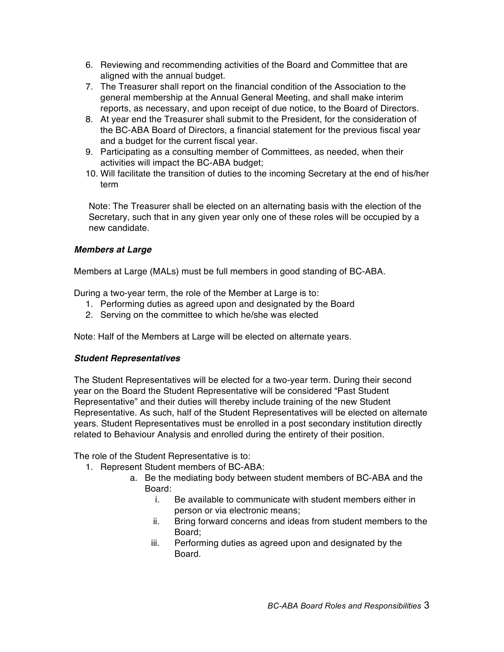- 6. Reviewing and recommending activities of the Board and Committee that are aligned with the annual budget.
- 7. The Treasurer shall report on the financial condition of the Association to the general membership at the Annual General Meeting, and shall make interim reports, as necessary, and upon receipt of due notice, to the Board of Directors.
- 8. At year end the Treasurer shall submit to the President, for the consideration of the BC-ABA Board of Directors, a financial statement for the previous fiscal year and a budget for the current fiscal year.
- 9. Participating as a consulting member of Committees, as needed, when their activities will impact the BC-ABA budget;
- 10. Will facilitate the transition of duties to the incoming Secretary at the end of his/her term

Note: The Treasurer shall be elected on an alternating basis with the election of the Secretary, such that in any given year only one of these roles will be occupied by a new candidate.

## *Members at Large*

Members at Large (MALs) must be full members in good standing of BC-ABA.

During a two-year term, the role of the Member at Large is to:

- 1. Performing duties as agreed upon and designated by the Board
- 2. Serving on the committee to which he/she was elected

Note: Half of the Members at Large will be elected on alternate years.

### *Student Representatives*

The Student Representatives will be elected for a two-year term. During their second year on the Board the Student Representative will be considered "Past Student Representative" and their duties will thereby include training of the new Student Representative. As such, half of the Student Representatives will be elected on alternate years. Student Representatives must be enrolled in a post secondary institution directly related to Behaviour Analysis and enrolled during the entirety of their position.

The role of the Student Representative is to:

- 1. Represent Student members of BC-ABA:
	- a. Be the mediating body between student members of BC-ABA and the Board:
		- i. Be available to communicate with student members either in person or via electronic means;
		- ii. Bring forward concerns and ideas from student members to the Board;
		- iii. Performing duties as agreed upon and designated by the Board.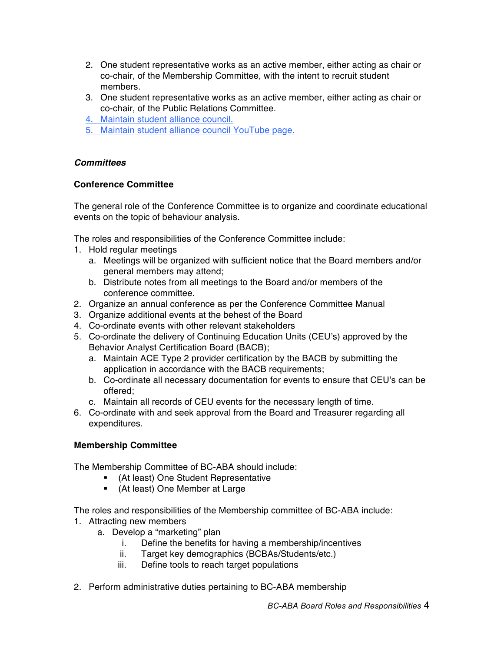- 2. One student representative works as an active member, either acting as chair or co-chair, of the Membership Committee, with the intent to recruit student members.
- 3. One student representative works as an active member, either acting as chair or co-chair, of the Public Relations Committee.
- 4. Maintain student alliance council.
- 5. Maintain student alliance council YouTube page.

## *Committees*

## **Conference Committee**

The general role of the Conference Committee is to organize and coordinate educational events on the topic of behaviour analysis.

The roles and responsibilities of the Conference Committee include:

- 1. Hold regular meetings
	- a. Meetings will be organized with sufficient notice that the Board members and/or general members may attend;
	- b. Distribute notes from all meetings to the Board and/or members of the conference committee.
- 2. Organize an annual conference as per the Conference Committee Manual
- 3. Organize additional events at the behest of the Board
- 4. Co-ordinate events with other relevant stakeholders
- 5. Co-ordinate the delivery of Continuing Education Units (CEU's) approved by the Behavior Analyst Certification Board (BACB);
	- a. Maintain ACE Type 2 provider certification by the BACB by submitting the application in accordance with the BACB requirements;
	- b. Co-ordinate all necessary documentation for events to ensure that CEU's can be offered;
	- c. Maintain all records of CEU events for the necessary length of time.
- 6. Co-ordinate with and seek approval from the Board and Treasurer regarding all expenditures.

### **Membership Committee**

The Membership Committee of BC-ABA should include:

- § (At least) One Student Representative
- § (At least) One Member at Large

The roles and responsibilities of the Membership committee of BC-ABA include:

- 1. Attracting new members
	- a. Develop a "marketing" plan
		- i. Define the benefits for having a membership/incentives
		- ii. Target key demographics (BCBAs/Students/etc.)
		- iii. Define tools to reach target populations
- 2. Perform administrative duties pertaining to BC-ABA membership